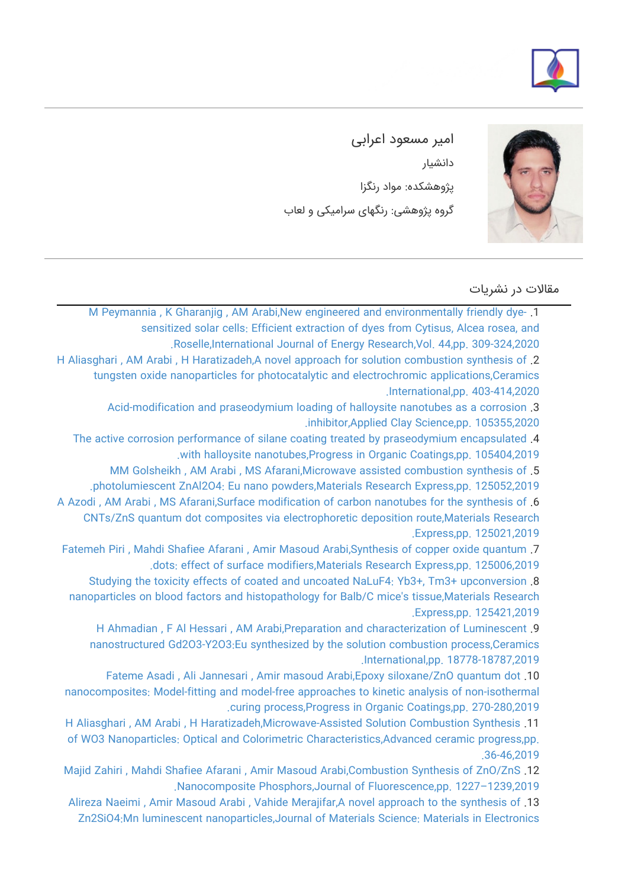



امیر مسعود اعرابی دانشیار پژوهشکده: مواد رنگزا گروه پژوهشی: رنگهای سرامیکی و لعاب

مقالات در نشریات

[M Peymannia , K Gharanjig , AM Arabi,New engineered and environmentally friendly dye‐](https://faculty.icrc.ac.ir/amirmasoud-arabi/fa/articlesInPublications/670/new-engineered-and-environmentally-friendly-dye-sensitized-solar-cells-efficient-extraction-of-dyes-from-cytisus-alcea-rosea-and-roselle) .1 [sensitized solar cells: Efficient extraction of dyes from Cytisus, Alcea rosea, and](https://faculty.icrc.ac.ir/amirmasoud-arabi/fa/articlesInPublications/670/new-engineered-and-environmentally-friendly-dye-sensitized-solar-cells-efficient-extraction-of-dyes-from-cytisus-alcea-rosea-and-roselle) [.Roselle,International Journal of Energy Research,Vol. 44,pp. 309-324,2020](https://faculty.icrc.ac.ir/amirmasoud-arabi/fa/articlesInPublications/670/new-engineered-and-environmentally-friendly-dye-sensitized-solar-cells-efficient-extraction-of-dyes-from-cytisus-alcea-rosea-and-roselle) [H Aliasghari , AM Arabi , H Haratizadeh,A novel approach for solution combustion synthesis of](https://faculty.icrc.ac.ir/amirmasoud-arabi/fa/articlesInPublications/671/a-novel-approach-for-solution-combustion-synthesis-of-tungsten-oxide-nanoparticles-for-photocatalytic-and-electrochromic-applications) .2 [tungsten oxide nanoparticles for photocatalytic and electrochromic applications,Ceramics](https://faculty.icrc.ac.ir/amirmasoud-arabi/fa/articlesInPublications/671/a-novel-approach-for-solution-combustion-synthesis-of-tungsten-oxide-nanoparticles-for-photocatalytic-and-electrochromic-applications) [.International,pp. 403-414,2020](https://faculty.icrc.ac.ir/amirmasoud-arabi/fa/articlesInPublications/671/a-novel-approach-for-solution-combustion-synthesis-of-tungsten-oxide-nanoparticles-for-photocatalytic-and-electrochromic-applications)

> [Acid-modification and praseodymium loading of halloysite nanotubes as a corrosion](https://faculty.icrc.ac.ir/amirmasoud-arabi/fa/articlesInPublications/673/acid-modification-and-praseodymium-loading-of-halloysite-nanotubes-as-a-corrosion-inhibitor) .3 [.inhibitor,Applied Clay Science,pp. 105355,2020](https://faculty.icrc.ac.ir/amirmasoud-arabi/fa/articlesInPublications/673/acid-modification-and-praseodymium-loading-of-halloysite-nanotubes-as-a-corrosion-inhibitor)

[The active corrosion performance of silane coating treated by praseodymium encapsulated](https://faculty.icrc.ac.ir/amirmasoud-arabi/fa/articlesInPublications/669/the-active-corrosion-performance-of-silane-coating-treated-by-praseodymium-encapsulated-with-halloysite-nanotubes) .4

[.with halloysite nanotubes,Progress in Organic Coatings,pp. 105404,2019](https://faculty.icrc.ac.ir/amirmasoud-arabi/fa/articlesInPublications/669/the-active-corrosion-performance-of-silane-coating-treated-by-praseodymium-encapsulated-with-halloysite-nanotubes)

[MM Golsheikh , AM Arabi , MS Afarani,Microwave assisted combustion synthesis of](https://faculty.icrc.ac.ir/amirmasoud-arabi/fa/articlesInPublications/672/microwave-assisted-combustion-synthesis-of-photolumiescent-znal2o4-eu-nano-powders) .5 [.photolumiescent ZnAl2O4: Eu nano powders,Materials Research Express,pp. 125052,2019](https://faculty.icrc.ac.ir/amirmasoud-arabi/fa/articlesInPublications/672/microwave-assisted-combustion-synthesis-of-photolumiescent-znal2o4-eu-nano-powders)

[A Azodi , AM Arabi , MS Afarani,Surface modification of carbon nanotubes for the synthesis of](https://faculty.icrc.ac.ir/amirmasoud-arabi/fa/articlesInPublications/674/surface-modification-of-carbon-nanotubes-for-the-synthesis-of-cnts-zns-quantum-dot-composites-via-electrophoretic-deposition-route) .6 [CNTs/ZnS quantum dot composites via electrophoretic deposition route,Materials Research](https://faculty.icrc.ac.ir/amirmasoud-arabi/fa/articlesInPublications/674/surface-modification-of-carbon-nanotubes-for-the-synthesis-of-cnts-zns-quantum-dot-composites-via-electrophoretic-deposition-route) [.Express,pp. 125021,2019](https://faculty.icrc.ac.ir/amirmasoud-arabi/fa/articlesInPublications/674/surface-modification-of-carbon-nanotubes-for-the-synthesis-of-cnts-zns-quantum-dot-composites-via-electrophoretic-deposition-route)

[Fatemeh Piri , Mahdi Shafiee Afarani , Amir Masoud Arabi,Synthesis of copper oxide quantum](https://faculty.icrc.ac.ir/amirmasoud-arabi/fa/articlesInPublications/675/synthesis-of-copper-oxide-quantum-dots-effect-of-surface-modifiers) .7 [.dots: effect of surface modifiers,Materials Research Express,pp. 125006,2019](https://faculty.icrc.ac.ir/amirmasoud-arabi/fa/articlesInPublications/675/synthesis-of-copper-oxide-quantum-dots-effect-of-surface-modifiers)

[Studying the toxicity effects of coated and uncoated NaLuF4: Yb3+, Tm3+ upconversion](https://faculty.icrc.ac.ir/amirmasoud-arabi/fa/articlesInPublications/678/studying-the-toxicity-effects-of-coated-and-uncoated-naluf4-yb3-tm3-upconversion-nanoparticles-on-blood-factors-and-histopathology-for-balb-c-mice-039-s-tissue) .8 [nanoparticles on blood factors and histopathology for Balb/C mice's tissue,Materials Research](https://faculty.icrc.ac.ir/amirmasoud-arabi/fa/articlesInPublications/678/studying-the-toxicity-effects-of-coated-and-uncoated-naluf4-yb3-tm3-upconversion-nanoparticles-on-blood-factors-and-histopathology-for-balb-c-mice-039-s-tissue) [.Express,pp. 125421,2019](https://faculty.icrc.ac.ir/amirmasoud-arabi/fa/articlesInPublications/678/studying-the-toxicity-effects-of-coated-and-uncoated-naluf4-yb3-tm3-upconversion-nanoparticles-on-blood-factors-and-histopathology-for-balb-c-mice-039-s-tissue)

[H Ahmadian , F Al Hessari , AM Arabi,Preparation and characterization of Luminescent](https://faculty.icrc.ac.ir/amirmasoud-arabi/fa/articlesInPublications/679/preparation-and-characterization-of-luminescent-nanostructured-gd2o3-y2o3-eu-synthesized-by-the-solution-combustion-process) .9 [nanostructured Gd2O3-Y2O3:Eu synthesized by the solution combustion process,Ceramics](https://faculty.icrc.ac.ir/amirmasoud-arabi/fa/articlesInPublications/679/preparation-and-characterization-of-luminescent-nanostructured-gd2o3-y2o3-eu-synthesized-by-the-solution-combustion-process) [.International,pp. 18778-18787,2019](https://faculty.icrc.ac.ir/amirmasoud-arabi/fa/articlesInPublications/679/preparation-and-characterization-of-luminescent-nanostructured-gd2o3-y2o3-eu-synthesized-by-the-solution-combustion-process)

[Fateme Asadi , Ali Jannesari , Amir masoud Arabi,Epoxy siloxane/ZnO quantum dot](https://faculty.icrc.ac.ir/amirmasoud-arabi/fa/articlesInPublications/680/epoxy-siloxane-zno-quantum-dot-nanocomposites-model-fitting-and-model-free-approaches-to-kinetic-analysis-of-non-isothermal-curing-process) .10 [nanocomposites: Model-fitting and model-free approaches to kinetic analysis of non-isothermal](https://faculty.icrc.ac.ir/amirmasoud-arabi/fa/articlesInPublications/680/epoxy-siloxane-zno-quantum-dot-nanocomposites-model-fitting-and-model-free-approaches-to-kinetic-analysis-of-non-isothermal-curing-process) [.curing process,Progress in Organic Coatings,pp. 270-280,2019](https://faculty.icrc.ac.ir/amirmasoud-arabi/fa/articlesInPublications/680/epoxy-siloxane-zno-quantum-dot-nanocomposites-model-fitting-and-model-free-approaches-to-kinetic-analysis-of-non-isothermal-curing-process)

[H Aliasghari , AM Arabi , H Haratizadeh,Microwave-Assisted Solution Combustion Synthesis](https://faculty.icrc.ac.ir/amirmasoud-arabi/fa/articlesInPublications/681/microwave-assisted-solution-combustion-synthesis-of-wo3-nanoparticles-optical-and-colorimetric-characteristics) .11 [of WO3 Nanoparticles: Optical and Colorimetric Characteristics,Advanced ceramic progress,pp.](https://faculty.icrc.ac.ir/amirmasoud-arabi/fa/articlesInPublications/681/microwave-assisted-solution-combustion-synthesis-of-wo3-nanoparticles-optical-and-colorimetric-characteristics) [.36-46,2019](https://faculty.icrc.ac.ir/amirmasoud-arabi/fa/articlesInPublications/681/microwave-assisted-solution-combustion-synthesis-of-wo3-nanoparticles-optical-and-colorimetric-characteristics)

[Majid Zahiri , Mahdi Shafiee Afarani , Amir Masoud Arabi,Combustion Synthesis of ZnO/ZnS](https://faculty.icrc.ac.ir/amirmasoud-arabi/fa/articlesInPublications/682/combustion-synthesis-of-zno-zns-nanocomposite-phosphors) .12 [.Nanocomposite Phosphors,Journal of Fluorescence,pp. 1227–1239,2019](https://faculty.icrc.ac.ir/amirmasoud-arabi/fa/articlesInPublications/682/combustion-synthesis-of-zno-zns-nanocomposite-phosphors)

[Alireza Naeimi , Amir Masoud Arabi , Vahide Merajifar,A novel approach to the synthesis of](https://faculty.icrc.ac.ir/amirmasoud-arabi/fa/articlesInPublications/687/a-novel-approach-to-the-synthesis-of-zn2sio4-mn-luminescent-nanoparticles) .13 [Zn2SiO4:Mn luminescent nanoparticles,Journal of Materials Science: Materials in Electronics](https://faculty.icrc.ac.ir/amirmasoud-arabi/fa/articlesInPublications/687/a-novel-approach-to-the-synthesis-of-zn2sio4-mn-luminescent-nanoparticles)